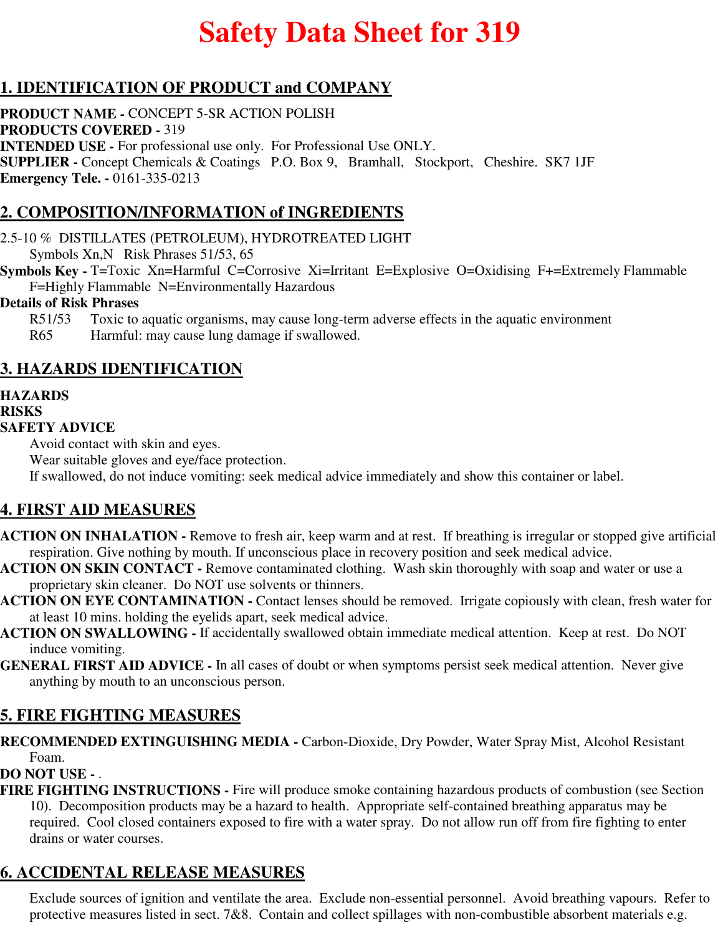# **Safety Data Sheet for 319**

# **1. IDENTIFICATION OF PRODUCT and COMPANY**

**PRODUCT NAME -** CONCEPT 5-SR ACTION POLISH **PRODUCTS COVERED -** 319 **INTENDED USE -** For professional use only. For Professional Use ONLY. **SUPPLIER -** Concept Chemicals & Coatings P.O. Box 9, Bramhall, Stockport, Cheshire. SK7 1JF **Emergency Tele. -** 0161-335-0213

# **2. COMPOSITION/INFORMATION of INGREDIENTS**

2.5-10 % DISTILLATES (PETROLEUM), HYDROTREATED LIGHT Symbols Xn,N Risk Phrases 51/53, 65

**Symbols Key - T=Toxic Xn=Harmful C=Corrosive Xi=Irritant E=Explosive O=Oxidising F+=Extremely Flammable** F=Highly Flammable N=Environmentally Hazardous

#### **Details of Risk Phrases**

R51/53 Toxic to aquatic organisms, may cause long-term adverse effects in the aquatic environment R65 Harmful: may cause lung damage if swallowed.

## **3. HAZARDS IDENTIFICATION**

# **HAZARDS**

#### **RISKS**

#### **SAFETY ADVICE**

Avoid contact with skin and eyes.

Wear suitable gloves and eye/face protection. If swallowed, do not induce vomiting: seek medical advice immediately and show this container or label.

#### **4. FIRST AID MEASURES**

- **ACTION ON INHALATION** Remove to fresh air, keep warm and at rest. If breathing is irregular or stopped give artificial respiration. Give nothing by mouth. If unconscious place in recovery position and seek medical advice.
- **ACTION ON SKIN CONTACT** Remove contaminated clothing. Wash skin thoroughly with soap and water or use a proprietary skin cleaner. Do NOT use solvents or thinners.
- **ACTION ON EYE CONTAMINATION** Contact lenses should be removed. Irrigate copiously with clean, fresh water for at least 10 mins. holding the eyelids apart, seek medical advice.
- **ACTION ON SWALLOWING** If accidentally swallowed obtain immediate medical attention. Keep at rest. Do NOT induce vomiting.
- **GENERAL FIRST AID ADVICE** In all cases of doubt or when symptoms persist seek medical attention. Never give anything by mouth to an unconscious person.

#### **5. FIRE FIGHTING MEASURES**

**RECOMMENDED EXTINGUISHING MEDIA -** Carbon-Dioxide, Dry Powder, Water Spray Mist, Alcohol Resistant Foam.

#### **DO NOT USE -** .

**FIRE FIGHTING INSTRUCTIONS -** Fire will produce smoke containing hazardous products of combustion (see Section 10). Decomposition products may be a hazard to health. Appropriate self-contained breathing apparatus may be required. Cool closed containers exposed to fire with a water spray. Do not allow run off from fire fighting to enter drains or water courses.

# **6. ACCIDENTAL RELEASE MEASURES**

Exclude sources of ignition and ventilate the area. Exclude non-essential personnel. Avoid breathing vapours. Refer to protective measures listed in sect. 7&8. Contain and collect spillages with non-combustible absorbent materials e.g.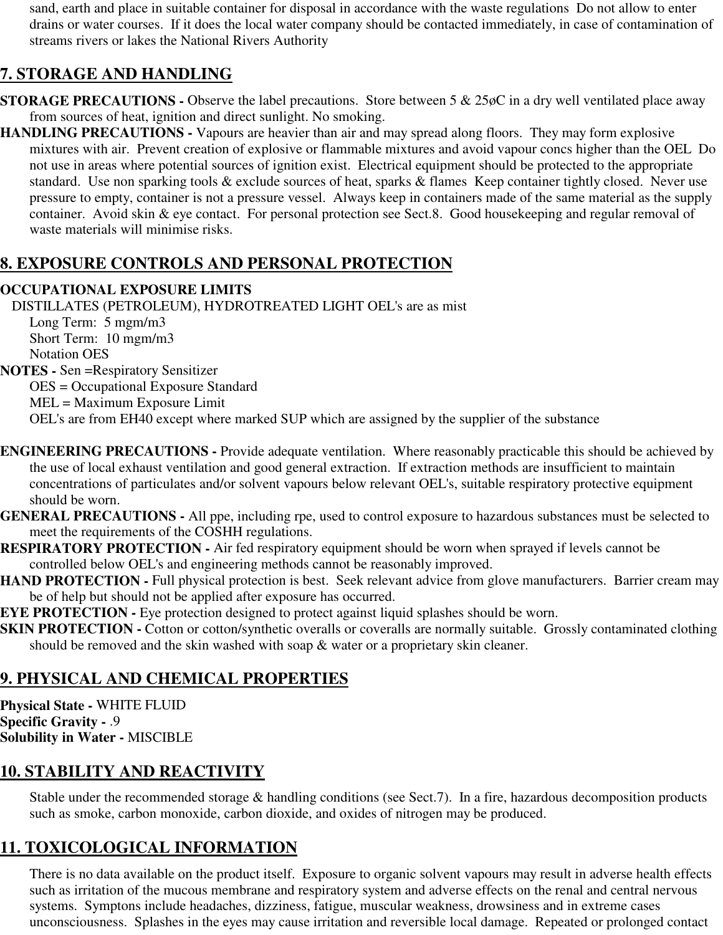sand, earth and place in suitable container for disposal in accordance with the waste regulations Do not allow to enter drains or water courses. If it does the local water company should be contacted immediately, in case of contamination of streams rivers or lakes the National Rivers Authority

# **7. STORAGE AND HANDLING**

- **STORAGE PRECAUTIONS -** Observe the label precautions. Store between 5 & 25øC in a dry well ventilated place away from sources of heat, ignition and direct sunlight. No smoking.
- **HANDLING PRECAUTIONS** Vapours are heavier than air and may spread along floors. They may form explosive mixtures with air. Prevent creation of explosive or flammable mixtures and avoid vapour concs higher than the OEL Do not use in areas where potential sources of ignition exist. Electrical equipment should be protected to the appropriate standard. Use non sparking tools & exclude sources of heat, sparks & flames Keep container tightly closed. Never use pressure to empty, container is not a pressure vessel. Always keep in containers made of the same material as the supply container. Avoid skin & eye contact. For personal protection see Sect.8. Good housekeeping and regular removal of waste materials will minimise risks.

# **8. EXPOSURE CONTROLS AND PERSONAL PROTECTION**

#### **OCCUPATIONAL EXPOSURE LIMITS**

DISTILLATES (PETROLEUM), HYDROTREATED LIGHT OEL's are as mist Long Term: 5 mgm/m3 Short Term: 10 mgm/m3 Notation OES **NOTES -** Sen =Respiratory Sensitizer OES = Occupational Exposure Standard MEL = Maximum Exposure Limit OEL's are from EH40 except where marked SUP which are assigned by the supplier of the substance

- **ENGINEERING PRECAUTIONS** Provide adequate ventilation. Where reasonably practicable this should be achieved by the use of local exhaust ventilation and good general extraction. If extraction methods are insufficient to maintain concentrations of particulates and/or solvent vapours below relevant OEL's, suitable respiratory protective equipment should be worn.
- **GENERAL PRECAUTIONS** All ppe, including rpe, used to control exposure to hazardous substances must be selected to meet the requirements of the COSHH regulations.
- **RESPIRATORY PROTECTION** Air fed respiratory equipment should be worn when sprayed if levels cannot be controlled below OEL's and engineering methods cannot be reasonably improved.
- **HAND PROTECTION Full physical protection is best. Seek relevant advice from glove manufacturers. Barrier cream may** be of help but should not be applied after exposure has occurred.
- **EYE PROTECTION -** Eye protection designed to protect against liquid splashes should be worn.
- **SKIN PROTECTION -** Cotton or cotton/synthetic overalls or coveralls are normally suitable. Grossly contaminated clothing should be removed and the skin washed with soap & water or a proprietary skin cleaner.

# **9. PHYSICAL AND CHEMICAL PROPERTIES**

**Physical State -** WHITE FLUID **Specific Gravity -** .9 **Solubility in Water -** MISCIBLE

# **10. STABILITY AND REACTIVITY**

Stable under the recommended storage & handling conditions (see Sect.7). In a fire, hazardous decomposition products such as smoke, carbon monoxide, carbon dioxide, and oxides of nitrogen may be produced.

# **11. TOXICOLOGICAL INFORMATION**

There is no data available on the product itself. Exposure to organic solvent vapours may result in adverse health effects such as irritation of the mucous membrane and respiratory system and adverse effects on the renal and central nervous systems. Symptons include headaches, dizziness, fatigue, muscular weakness, drowsiness and in extreme cases unconsciousness. Splashes in the eyes may cause irritation and reversible local damage. Repeated or prolonged contact